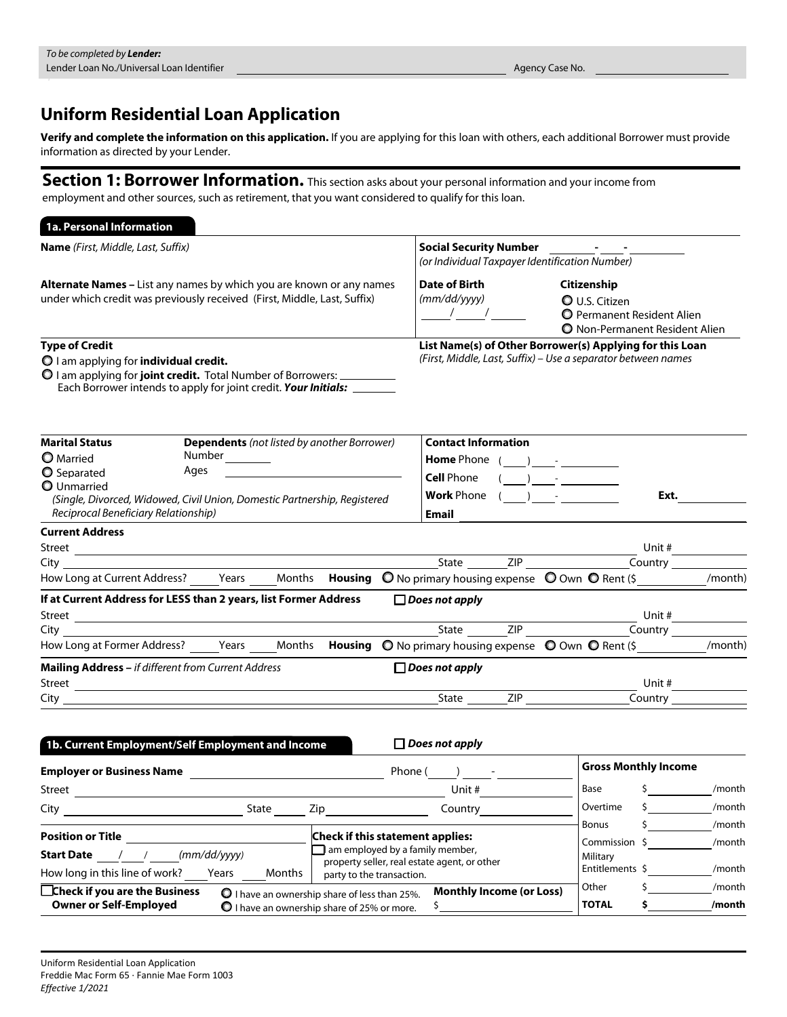## Uniform Residential Loan Application

Verify and complete the information on this application. If you are applying for this loan with others, each additional Borrower must provide information as directed by your Lender.

Section 1: Borrower Information. This section asks about your personal information and your income from employment and other sources, such as retirement, that you want considered to qualify for this loan.

| 1a. Personal Information                                                                                                                                                                                                                   |                                                                                |        |        |                                                       |  |                                                                                                                                                                                                                                                                                                                                                                             |  |                                           |                                                                                                     |                                   |                        |
|--------------------------------------------------------------------------------------------------------------------------------------------------------------------------------------------------------------------------------------------|--------------------------------------------------------------------------------|--------|--------|-------------------------------------------------------|--|-----------------------------------------------------------------------------------------------------------------------------------------------------------------------------------------------------------------------------------------------------------------------------------------------------------------------------------------------------------------------------|--|-------------------------------------------|-----------------------------------------------------------------------------------------------------|-----------------------------------|------------------------|
| <b>Name</b> (First, Middle, Last, Suffix)                                                                                                                                                                                                  |                                                                                |        |        |                                                       |  | Social Security Number _______                                                                                                                                                                                                                                                                                                                                              |  |                                           |                                                                                                     |                                   |                        |
| <b>Alternate Names</b> – List any names by which you are known or any names                                                                                                                                                                |                                                                                |        |        |                                                       |  | (or Individual Taxpayer Identification Number)<br>Date of Birth                                                                                                                                                                                                                                                                                                             |  |                                           | Citizenship                                                                                         |                                   |                        |
| under which credit was previously received (First, Middle, Last, Suffix)                                                                                                                                                                   |                                                                                |        |        |                                                       |  | (mm/dd/yyyy)<br>$\frac{1}{\sqrt{2}}$                                                                                                                                                                                                                                                                                                                                        |  |                                           | <b>O</b> U.S. Citizen<br><b>O</b> Permanent Resident Alien<br><b>O</b> Non-Permanent Resident Alien |                                   |                        |
| <b>Type of Credit</b><br>O I am applying for <b>individual credit.</b><br>O I am applying for <b>joint credit.</b> Total Number of Borrowers: _________________<br>Each Borrower intends to apply for joint credit. Your Initials: _______ |                                                                                |        |        |                                                       |  | List Name(s) of Other Borrower(s) Applying for this Loan<br>(First, Middle, Last, Suffix) - Use a separator between names                                                                                                                                                                                                                                                   |  |                                           |                                                                                                     |                                   |                        |
| <b>Marital Status</b>                                                                                                                                                                                                                      |                                                                                |        |        | <b>Dependents</b> (not listed by another Borrower)    |  | <b>Contact Information</b>                                                                                                                                                                                                                                                                                                                                                  |  |                                           |                                                                                                     |                                   |                        |
| <b>O</b> Married                                                                                                                                                                                                                           |                                                                                | Number |        |                                                       |  | <b>Home</b> Phone $($ $)$ $-$                                                                                                                                                                                                                                                                                                                                               |  |                                           |                                                                                                     |                                   |                        |
| <b>O</b> Separated<br><b>O</b> Unmarried                                                                                                                                                                                                   | Ages<br><u> 1980 - John Stein, amerikansk politiker (</u><br><b>Cell Phone</b> |        |        |                                                       |  |                                                                                                                                                                                                                                                                                                                                                                             |  | ) and the set of $\overline{\phantom{a}}$ |                                                                                                     |                                   |                        |
| (Single, Divorced, Widowed, Civil Union, Domestic Partnership, Registered<br>Reciprocal Beneficiary Relationship)                                                                                                                          |                                                                                |        |        |                                                       |  | <b>Work</b> Phone $($ $)$ $ -$<br><b>Email</b>                                                                                                                                                                                                                                                                                                                              |  |                                           |                                                                                                     | Ext.                              |                        |
| <b>Current Address</b>                                                                                                                                                                                                                     |                                                                                |        |        |                                                       |  |                                                                                                                                                                                                                                                                                                                                                                             |  |                                           |                                                                                                     |                                   |                        |
|                                                                                                                                                                                                                                            |                                                                                |        |        |                                                       |  |                                                                                                                                                                                                                                                                                                                                                                             |  |                                           |                                                                                                     | Unit #                            |                        |
|                                                                                                                                                                                                                                            |                                                                                |        |        |                                                       |  | $S$ tate $ZIP$ $ZIP$ $\overline{C}$ $\overline{C}$ $\overline{C}$ $\overline{C}$ $\overline{C}$ $\overline{C}$ $\overline{C}$ $\overline{C}$ $\overline{C}$ $\overline{C}$ $\overline{C}$ $\overline{C}$ $\overline{C}$ $\overline{C}$ $\overline{C}$ $\overline{C}$ $\overline{C}$ $\overline{C}$ $\overline{C}$ $\overline{C}$ $\overline{C}$ $\overline{C}$ $\overline{$ |  |                                           |                                                                                                     |                                   |                        |
| How Long at Current Address? _____Years _____Months <b>Housing O</b> No primary housing expense O Own O Rent (\$ __________ /month)                                                                                                        |                                                                                |        |        |                                                       |  |                                                                                                                                                                                                                                                                                                                                                                             |  |                                           |                                                                                                     |                                   |                        |
| If at Current Address for LESS than 2 years, list Former Address                                                                                                                                                                           |                                                                                |        |        |                                                       |  | $\Box$ Does not apply                                                                                                                                                                                                                                                                                                                                                       |  |                                           |                                                                                                     |                                   |                        |
|                                                                                                                                                                                                                                            |                                                                                |        |        |                                                       |  |                                                                                                                                                                                                                                                                                                                                                                             |  |                                           |                                                                                                     | $\overline{\text{Country}}$       | Unit # $\qquad \qquad$ |
| How Long at Former Address? Years Months Housing O No primary housing expense O Own O Rent (\$                                                                                                                                             |                                                                                |        |        |                                                       |  |                                                                                                                                                                                                                                                                                                                                                                             |  |                                           |                                                                                                     |                                   | /month)                |
| <b>Mailing Address - if different from Current Address</b>                                                                                                                                                                                 |                                                                                |        |        |                                                       |  | $\Box$ Does not apply                                                                                                                                                                                                                                                                                                                                                       |  |                                           |                                                                                                     |                                   |                        |
|                                                                                                                                                                                                                                            |                                                                                |        |        |                                                       |  |                                                                                                                                                                                                                                                                                                                                                                             |  |                                           |                                                                                                     | Unit #                            |                        |
|                                                                                                                                                                                                                                            |                                                                                |        |        |                                                       |  | State ZIP                                                                                                                                                                                                                                                                                                                                                                   |  |                                           |                                                                                                     |                                   |                        |
| 1b. Current Employment/Self Employment and Income                                                                                                                                                                                          |                                                                                |        |        |                                                       |  | $\Box$ Does not apply                                                                                                                                                                                                                                                                                                                                                       |  |                                           |                                                                                                     |                                   |                        |
| <b>Employer or Business Name</b>                                                                                                                                                                                                           |                                                                                |        |        |                                                       |  | Phone ( ) -                                                                                                                                                                                                                                                                                                                                                                 |  |                                           | <b>Gross Monthly Income</b>                                                                         |                                   |                        |
| Street                                                                                                                                                                                                                                     |                                                                                |        |        |                                                       |  | Unit #                                                                                                                                                                                                                                                                                                                                                                      |  |                                           | Base                                                                                                | $\sim$ 5                          | /month                 |
| City                                                                                                                                                                                                                                       |                                                                                |        | State  | Zip                                                   |  | Country                                                                                                                                                                                                                                                                                                                                                                     |  |                                           | Overtime                                                                                            | \$                                | /month                 |
|                                                                                                                                                                                                                                            |                                                                                |        |        |                                                       |  |                                                                                                                                                                                                                                                                                                                                                                             |  |                                           | <b>Bonus</b>                                                                                        |                                   | /month                 |
| <b>Position or Title</b>                                                                                                                                                                                                                   |                                                                                |        |        | <b>Check if this statement applies:</b>               |  | $\Box$ am employed by a family member,                                                                                                                                                                                                                                                                                                                                      |  |                                           | Commission \$                                                                                       |                                   | /month                 |
| Start Date / /                                                                                                                                                                                                                             | (mm/dd/yyyy)                                                                   |        |        |                                                       |  | property seller, real estate agent, or other                                                                                                                                                                                                                                                                                                                                |  |                                           | Military<br>Entitlements \$                                                                         |                                   | /month                 |
| How long in this line of work?                                                                                                                                                                                                             |                                                                                | Years  | Months | party to the transaction.                             |  |                                                                                                                                                                                                                                                                                                                                                                             |  |                                           | Other                                                                                               | \$                                | /month                 |
| □Check if you are the Business                                                                                                                                                                                                             |                                                                                |        |        | $\bullet$ I have an ownership share of less than 25%. |  | <b>Monthly Income (or Loss)</b>                                                                                                                                                                                                                                                                                                                                             |  |                                           | <b>TOTAL</b>                                                                                        |                                   | /month                 |
| <b>Owner or Self-Employed</b>                                                                                                                                                                                                              |                                                                                |        |        | O I have an ownership share of 25% or more.           |  | $\overline{\mathsf{S}}_{-}$                                                                                                                                                                                                                                                                                                                                                 |  |                                           |                                                                                                     | $\sim$ 5 $\sim$ 5 $\sim$ 5 $\sim$ |                        |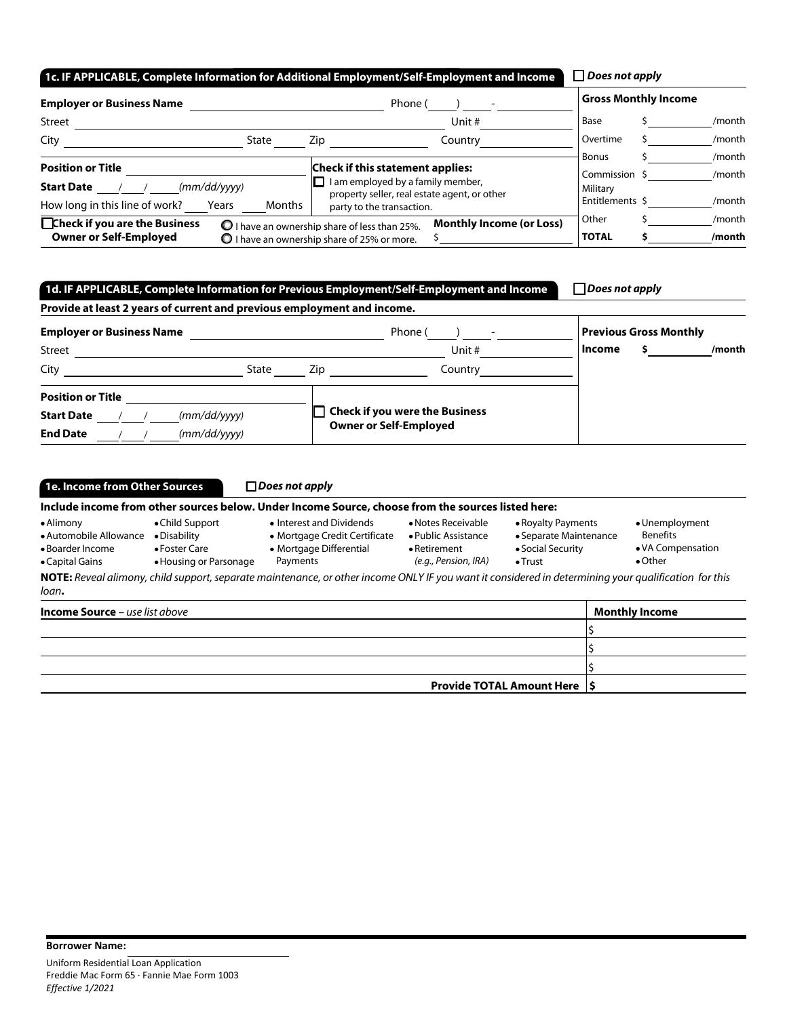| 1c. IF APPLICABLE, Complete Information for Additional Employment/Self-Employment and Income |                                                                                                       |                                                                                                                              | $\Box$ Does not apply                     |                  |
|----------------------------------------------------------------------------------------------|-------------------------------------------------------------------------------------------------------|------------------------------------------------------------------------------------------------------------------------------|-------------------------------------------|------------------|
| <b>Employer or Business Name</b>                                                             |                                                                                                       | Phone (                                                                                                                      | <b>Gross Monthly Income</b>               |                  |
| <b>Street</b>                                                                                |                                                                                                       | Unit #                                                                                                                       | Base                                      | /month           |
| City<br>State                                                                                | Zip                                                                                                   | Country                                                                                                                      | Overtime                                  | /month           |
| <b>Position or Title</b><br>(mm/dd/yyyy)<br><b>Start Date</b>                                |                                                                                                       | <b>Check if this statement applies:</b><br>I am employed by a family member,<br>property seller, real estate agent, or other | <b>Bonus</b><br>Commission \$<br>Military | /month<br>/month |
| How long in this line of work?<br>Months<br>Years                                            |                                                                                                       | party to the transaction.                                                                                                    | Entitlements \$                           | /month           |
| □Check if you are the Business<br><b>Owner or Self-Employed</b>                              | O I have an ownership share of less than 25%.<br>$\bigcirc$ I have an ownership share of 25% or more. | <b>Monthly Income (or Loss)</b>                                                                                              | Other<br><b>TOTAL</b>                     | /month<br>/month |

# 1d. IF APPLICABLE, Complete Information for Previous Employment/Self-Employment and Income

| $\Box$ Does not apply |  |
|-----------------------|--|
|-----------------------|--|

| Provide at least 2 years of current and previous employment and income. |              |      |                                       |        |                               |        |  |  |  |  |
|-------------------------------------------------------------------------|--------------|------|---------------------------------------|--------|-------------------------------|--------|--|--|--|--|
| <b>Employer or Business Name</b>                                        |              |      | Phone (                               |        | <b>Previous Gross Monthly</b> |        |  |  |  |  |
| Street                                                                  |              |      | Unit #                                | Income |                               | /month |  |  |  |  |
| City                                                                    | State        | Zip. | Country                               |        |                               |        |  |  |  |  |
| <b>Position or Title</b>                                                |              |      |                                       |        |                               |        |  |  |  |  |
| <b>Start Date</b>                                                       | (mm/dd/yyyy) |      | <b>Check if you were the Business</b> |        |                               |        |  |  |  |  |
| <b>End Date</b>                                                         | (mm/dd/yyyy) |      | <b>Owner or Self-Employed</b>         |        |                               |        |  |  |  |  |

| 1e. Income from Other Sources                                                                                                                            |  | $\Box$ Does not apply                                                                                                                                                                         |  |                                                                                      |                                                                           |  |
|----------------------------------------------------------------------------------------------------------------------------------------------------------|--|-----------------------------------------------------------------------------------------------------------------------------------------------------------------------------------------------|--|--------------------------------------------------------------------------------------|---------------------------------------------------------------------------|--|
|                                                                                                                                                          |  | Include income from other sources below. Under Income Source, choose from the sources listed here:                                                                                            |  |                                                                                      |                                                                           |  |
| • Alimony<br>• Child Support<br>• Automobile Allowance<br>• Disability<br>• Boarder Income<br>• Foster Care<br>• Housing or Parsonage<br>• Capital Gains |  | • Interest and Dividends<br>• Notes Receivable<br>• Mortgage Credit Certificate<br>• Public Assistance<br>• Mortgage Differential<br>$\bullet$ Retirement<br>(e.g., Pension, IRA)<br>Payments |  | • Royalty Payments<br>• Separate Maintenance<br>• Social Security<br>$\bullet$ Trust | • Unemployment<br><b>Benefits</b><br>• VA Compensation<br>$\bullet$ Other |  |
| loan.                                                                                                                                                    |  | NOTE: Reveal alimony, child support, separate maintenance, or other income ONLY IF you want it considered in determining your qualification for this                                          |  |                                                                                      |                                                                           |  |
| <b>Income Source</b> $-$ use list above                                                                                                                  |  |                                                                                                                                                                                               |  |                                                                                      | <b>Monthly Income</b>                                                     |  |
|                                                                                                                                                          |  |                                                                                                                                                                                               |  |                                                                                      |                                                                           |  |
|                                                                                                                                                          |  |                                                                                                                                                                                               |  |                                                                                      |                                                                           |  |
|                                                                                                                                                          |  |                                                                                                                                                                                               |  |                                                                                      |                                                                           |  |

Provide TOTAL Amount Here  $\vert$ \$

| <b>Borrower Name:</b>                      |
|--------------------------------------------|
| Uniform Residential Loan Application       |
| Freddie Mac Form 65 · Fannie Mae Form 1003 |
| Effective 1/2021                           |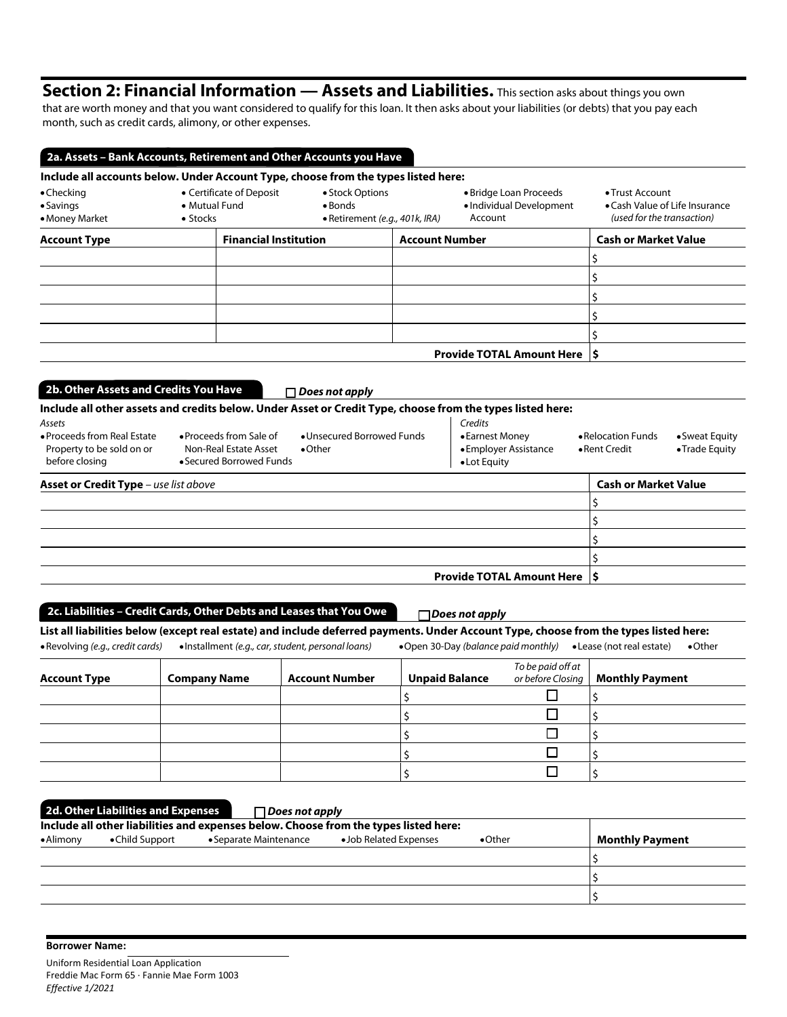# Section 2: Financial Information — Assets and Liabilities. This section asks about things you own

that are worth money and that you want considered to qualify for this loan. It then asks about your liabilities (or debts) that you pay each month, such as credit cards, alimony, or other expenses.

| $\bullet$ Checking<br>$\bullet$ Savings<br>• Money Market | • Certificate of Deposit<br>• Mutual Fund<br>$\bullet$ Stocks | Include all accounts below. Under Account Type, choose from the types listed here:<br>• Stock Options<br>$\bullet$ Bonds<br>• Retirement (e.g., 401k, IRA) | • Bridge Loan Proceeds<br>• Individual Development<br>Account | • Trust Account<br>• Cash Value of Life Insurance<br>(used for the transaction) |  |
|-----------------------------------------------------------|---------------------------------------------------------------|------------------------------------------------------------------------------------------------------------------------------------------------------------|---------------------------------------------------------------|---------------------------------------------------------------------------------|--|
| <b>Account Type</b>                                       | <b>Financial Institution</b>                                  |                                                                                                                                                            | <b>Account Number</b>                                         |                                                                                 |  |
|                                                           |                                                               |                                                                                                                                                            |                                                               |                                                                                 |  |
|                                                           |                                                               |                                                                                                                                                            |                                                               |                                                                                 |  |
|                                                           |                                                               |                                                                                                                                                            |                                                               |                                                                                 |  |
|                                                           |                                                               |                                                                                                                                                            |                                                               |                                                                                 |  |
|                                                           |                                                               |                                                                                                                                                            |                                                               |                                                                                 |  |
|                                                           |                                                               |                                                                                                                                                            | <b>Provide TOTAL Amount Here S</b>                            |                                                                                 |  |

| Assets<br>• Proceeds from Real Estate<br>Property to be sold on or<br>before closing | • Proceeds from Sale of<br>Non-Real Estate Asset<br>• Secured Borrowed Funds | • Unsecured Borrowed Funds<br>$\bullet$ Other | Credits<br>• Earnest Money<br>• Employer Assistance<br>• Lot Equity | • Relocation Funds<br>$\bullet$ Rent Credit | • Sweat Equity<br>• Trade Equity |
|--------------------------------------------------------------------------------------|------------------------------------------------------------------------------|-----------------------------------------------|---------------------------------------------------------------------|---------------------------------------------|----------------------------------|
| <b>Asset or Credit Type</b> – use list above                                         |                                                                              |                                               |                                                                     | <b>Cash or Market Value</b>                 |                                  |
|                                                                                      |                                                                              |                                               |                                                                     |                                             |                                  |
|                                                                                      |                                                                              |                                               |                                                                     |                                             |                                  |
|                                                                                      |                                                                              |                                               |                                                                     |                                             |                                  |
|                                                                                      |                                                                              |                                               |                                                                     |                                             |                                  |
|                                                                                      |                                                                              |                                               | <b>Provide TOTAL Amount Here 15</b>                                 |                                             |                                  |

### 2c. Liabilities – Credit Cards, Other Debts and Leases that You Owe

*Does not apply*

List all liabilities below (except real estate) and include deferred payments. Under Account Type, choose from the types listed here: Revolving *(e.g., credit cards)* Installment *(e.g., car, student, personal loans)* Open 30-Day *(balance paid monthly)* Lease (not real estate) Other

| <b>Account Type</b> | <b>Company Name</b> | <b>Account Number</b> | <b>Unpaid Balance</b> | To be paid off at <b>Armic State of Augman</b><br>or before Closing <b>Monthly Payment</b> |
|---------------------|---------------------|-----------------------|-----------------------|--------------------------------------------------------------------------------------------|
|                     |                     |                       |                       |                                                                                            |
|                     |                     |                       |                       |                                                                                            |
|                     |                     |                       |                       |                                                                                            |
|                     |                     |                       |                       |                                                                                            |
|                     |                     |                       |                       |                                                                                            |

|                   | 2d. Other Liabilities and Expenses | $\Box$ Does not apply                                                                |                        |                 |                        |
|-------------------|------------------------------------|--------------------------------------------------------------------------------------|------------------------|-----------------|------------------------|
|                   |                                    | Include all other liabilities and expenses below. Choose from the types listed here: |                        |                 |                        |
| $\bullet$ Alimony | •Child Support                     | • Separate Maintenance                                                               | • Job Related Expenses | $\bullet$ Other | <b>Monthly Payment</b> |
|                   |                                    |                                                                                      |                        |                 |                        |
|                   |                                    |                                                                                      |                        |                 |                        |
|                   |                                    |                                                                                      |                        |                 |                        |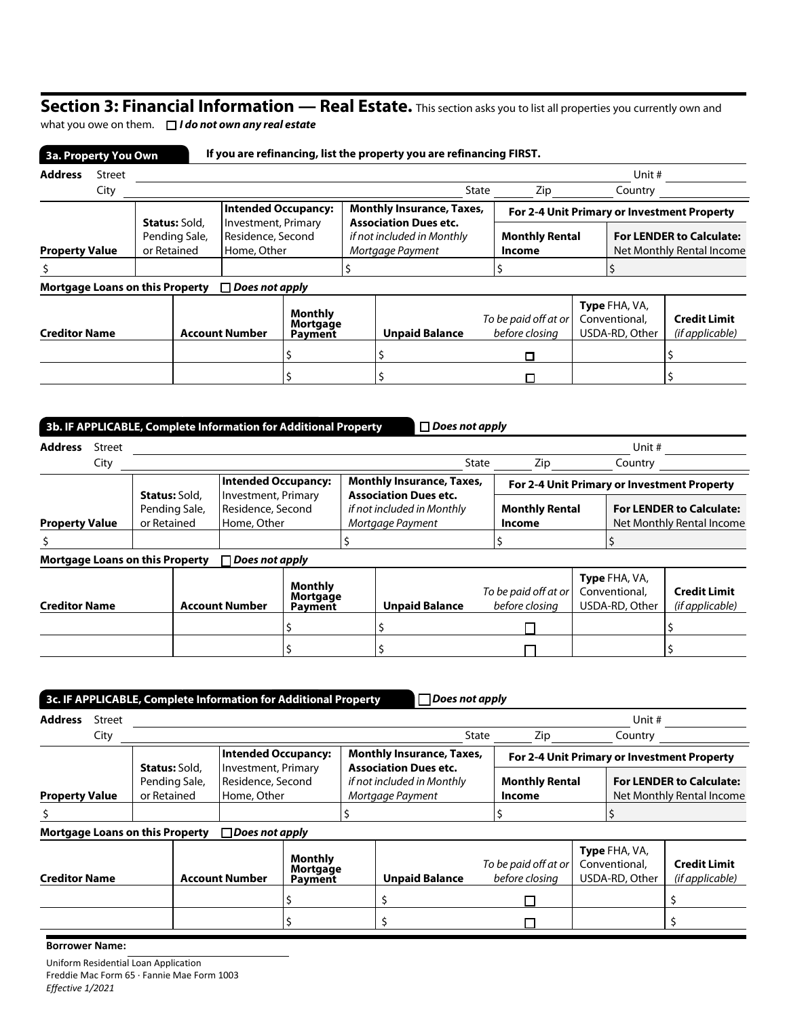## Section 3: Financial Information — Real Estate. This section asks you to list all properties you currently own and

what you owe on them. *I do not own any real estate*

| <b>Address</b>                         | <b>Street</b> |             |                                       |                                                                |  |  |                                                                                |                                        |  | Unit #                                                       |                                             |
|----------------------------------------|---------------|-------------|---------------------------------------|----------------------------------------------------------------|--|--|--------------------------------------------------------------------------------|----------------------------------------|--|--------------------------------------------------------------|---------------------------------------------|
|                                        | City          |             |                                       |                                                                |  |  | State                                                                          | Zip                                    |  | Country                                                      |                                             |
|                                        |               |             |                                       | <b>Intended Occupancy:</b>                                     |  |  | <b>Monthly Insurance, Taxes,</b>                                               |                                        |  |                                                              | For 2-4 Unit Primary or Investment Property |
| <b>Property Value</b>                  |               | or Retained | <b>Status: Sold,</b><br>Pending Sale, | Investment, Primary<br>Residence, Second<br>Home, Other        |  |  | <b>Association Dues etc.</b><br>if not included in Monthly<br>Mortgage Payment | <b>Monthly Rental</b><br><b>Income</b> |  | <b>For LENDER to Calculate:</b><br>Net Monthly Rental Income |                                             |
|                                        |               |             |                                       |                                                                |  |  |                                                                                |                                        |  |                                                              |                                             |
| <b>Mortgage Loans on this Property</b> |               |             |                                       | $\Box$ Does not apply                                          |  |  |                                                                                |                                        |  |                                                              |                                             |
| <b>Creditor Name</b>                   |               |             |                                       | <b>Monthly</b><br>Mortgage<br><b>Account Number</b><br>Payment |  |  | <b>Unpaid Balance</b>                                                          | To be paid off at or<br>before closina |  | <b>Type FHA, VA,</b><br>Conventional,<br>USDA-RD, Other      | <b>Credit Limit</b><br>(if applicable)      |
|                                        |               |             |                                       |                                                                |  |  |                                                                                | о                                      |  |                                                              |                                             |
|                                        |               |             |                                       |                                                                |  |  |                                                                                |                                        |  |                                                              |                                             |

|                                        |                                                                                                                                          |  |  | 3b. IF APPLICABLE, Complete Information for Additional Property                |                                       |                                 | $\Box$ Does not apply            |                                                              |                                        |                                             |                                                  |                                        |
|----------------------------------------|------------------------------------------------------------------------------------------------------------------------------------------|--|--|--------------------------------------------------------------------------------|---------------------------------------|---------------------------------|----------------------------------|--------------------------------------------------------------|----------------------------------------|---------------------------------------------|--------------------------------------------------|----------------------------------------|
| <b>Address</b>                         | Street                                                                                                                                   |  |  |                                                                                |                                       |                                 |                                  |                                                              |                                        |                                             | Unit #                                           |                                        |
|                                        | City                                                                                                                                     |  |  |                                                                                |                                       |                                 |                                  | State                                                        | Zip                                    |                                             | Country                                          |                                        |
|                                        |                                                                                                                                          |  |  |                                                                                | <b>Intended Occupancy:</b>            |                                 | <b>Monthly Insurance, Taxes,</b> |                                                              |                                        | For 2-4 Unit Primary or Investment Property |                                                  |                                        |
|                                        | Investment, Primary<br><b>Status:</b> Sold,<br>Residence, Second<br>Pending Sale,<br>or Retained<br>Home, Other<br><b>Property Value</b> |  |  | <b>Association Dues etc.</b><br>if not included in Monthly<br>Mortgage Payment |                                       | <b>Monthly Rental</b><br>Income |                                  | <b>For LENDER to Calculate:</b><br>Net Monthly Rental Income |                                        |                                             |                                                  |                                        |
|                                        |                                                                                                                                          |  |  |                                                                                |                                       |                                 |                                  |                                                              |                                        |                                             |                                                  |                                        |
| <b>Mortgage Loans on this Property</b> |                                                                                                                                          |  |  | Does not apply                                                                 |                                       |                                 |                                  |                                                              |                                        |                                             |                                                  |                                        |
| <b>Creditor Name</b>                   |                                                                                                                                          |  |  | <b>Account Number</b>                                                          | <b>Monthly</b><br>Mortgage<br>Payment |                                 | <b>Unpaid Balance</b>            |                                                              | To be paid off at or<br>before closina |                                             | Type FHA, VA,<br>Conventional,<br>USDA-RD, Other | <b>Credit Limit</b><br>(if applicable) |
|                                        |                                                                                                                                          |  |  |                                                                                |                                       |                                 |                                  |                                                              |                                        |                                             |                                                  |                                        |
|                                        |                                                                                                                                          |  |  |                                                                                |                                       |                                 |                                  |                                                              |                                        |                                             |                                                  |                                        |

|                                        | $\Box$ Does not apply<br>3c. IF APPLICABLE, Complete Information for Additional Property |                                                      |  |                                                         |                                |                                                                                |                                  |       |                                        |  |                                                              |                                             |
|----------------------------------------|------------------------------------------------------------------------------------------|------------------------------------------------------|--|---------------------------------------------------------|--------------------------------|--------------------------------------------------------------------------------|----------------------------------|-------|----------------------------------------|--|--------------------------------------------------------------|---------------------------------------------|
| <b>Address</b>                         | <b>Street</b>                                                                            |                                                      |  |                                                         |                                |                                                                                |                                  |       |                                        |  | Unit #                                                       |                                             |
|                                        | City                                                                                     |                                                      |  |                                                         |                                |                                                                                |                                  | State | Zip                                    |  | Country                                                      |                                             |
|                                        |                                                                                          |                                                      |  | <b>Intended Occupancy:</b>                              |                                |                                                                                | <b>Monthly Insurance, Taxes,</b> |       |                                        |  |                                                              | For 2-4 Unit Primary or Investment Property |
| <b>Property Value</b>                  |                                                                                          | <b>Status: Sold,</b><br>Pending Sale,<br>or Retained |  | Investment, Primary<br>Residence, Second<br>Home, Other |                                | <b>Association Dues etc.</b><br>if not included in Monthly<br>Mortgage Payment |                                  |       | <b>Monthly Rental</b><br>Income        |  | <b>For LENDER to Calculate:</b><br>Net Monthly Rental Income |                                             |
| S                                      |                                                                                          |                                                      |  |                                                         |                                |                                                                                |                                  |       |                                        |  |                                                              |                                             |
| <b>Mortgage Loans on this Property</b> |                                                                                          |                                                      |  | $\Box$ Does not apply                                   |                                |                                                                                |                                  |       |                                        |  |                                                              |                                             |
| <b>Creditor Name</b>                   |                                                                                          |                                                      |  | <b>Account Number</b>                                   | Monthly<br>Mortgage<br>Payment |                                                                                | <b>Unpaid Balance</b>            |       | To be paid off at or<br>before closing |  | Type FHA, VA,<br>Conventional,<br>USDA-RD, Other             | <b>Credit Limit</b><br>(if applicable)      |
|                                        |                                                                                          |                                                      |  |                                                         |                                |                                                                                |                                  |       |                                        |  |                                                              |                                             |
|                                        |                                                                                          |                                                      |  |                                                         |                                |                                                                                |                                  |       |                                        |  |                                                              |                                             |
| <b>Borrower Name:</b>                  |                                                                                          |                                                      |  |                                                         |                                |                                                                                |                                  |       |                                        |  |                                                              |                                             |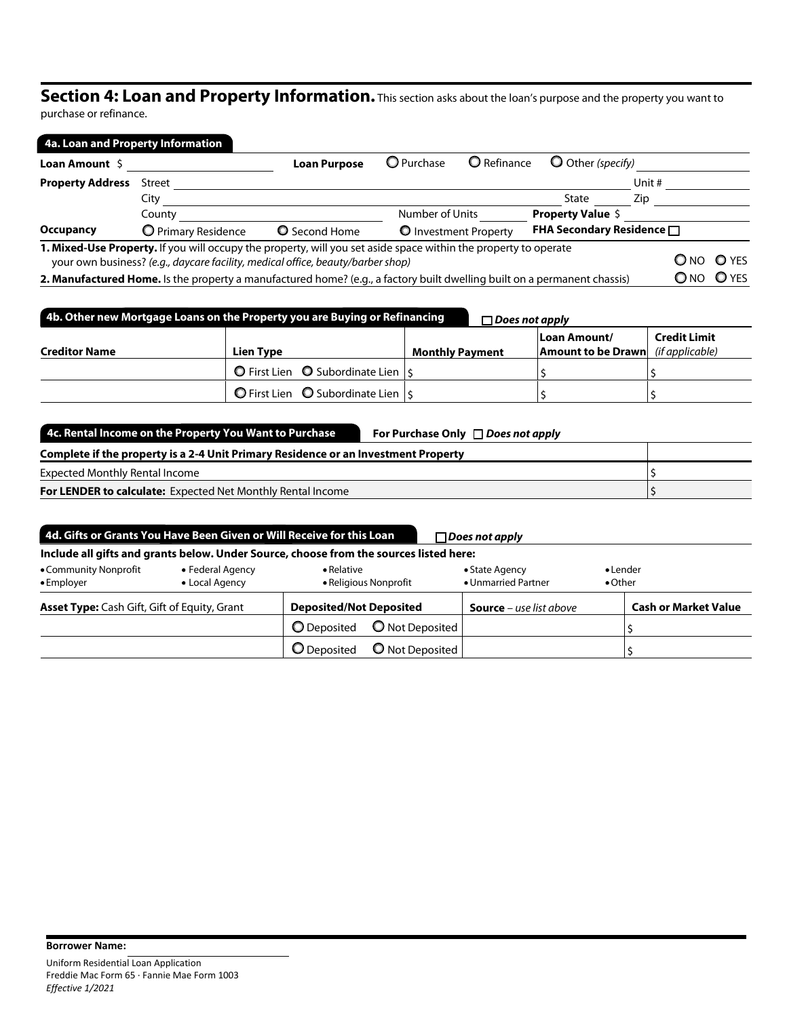# Section 4: Loan and Property Information. This section asks about the loan's purpose and the property you want to

purchase or refinance.

|                         | 4a. Loan and Property Information                                                                                                                                                                  |                      |                   |                       |                                       |        |              |
|-------------------------|----------------------------------------------------------------------------------------------------------------------------------------------------------------------------------------------------|----------------------|-------------------|-----------------------|---------------------------------------|--------|--------------|
| Loan Amount \$          |                                                                                                                                                                                                    | <b>Loan Purpose</b>  | <b>O</b> Purchase | <b>O</b> Refinance    | O Other (specify)                     |        |              |
| <b>Property Address</b> | Street                                                                                                                                                                                             |                      |                   |                       |                                       | Unit # |              |
|                         | City                                                                                                                                                                                               |                      |                   |                       | State                                 | Zip.   |              |
|                         | County                                                                                                                                                                                             |                      | Number of Units   |                       | <b>Property Value \$</b>              |        |              |
| Occupancy               | O Primary Residence                                                                                                                                                                                | <b>Q</b> Second Home |                   | O Investment Property | <b>FHA Secondary Residence</b> $\Box$ |        |              |
|                         | 1. Mixed-Use Property. If you will occupy the property, will you set aside space within the property to operate<br>your own business? (e.g., daycare facility, medical office, beauty/barber shop) |                      |                   |                       |                                       | O NO   | <b>O</b> YES |
|                         | 2. Manufactured Home. Is the property a manufactured home? (e.g., a factory built dwelling built on a permanent chassis)                                                                           |                      |                   |                       |                                       | $O$ NO | $O$ YES      |

| 4b. Other new Mortgage Loans on the Property you are Buying or Refinancing<br>$\Box$ Does not apply |                                                              |                        |                                                                    |                     |  |
|-----------------------------------------------------------------------------------------------------|--------------------------------------------------------------|------------------------|--------------------------------------------------------------------|---------------------|--|
| <b>Creditor Name</b>                                                                                | Lien Type                                                    | <b>Monthly Payment</b> | Loan Amount/<br><b>Amount to be Drawn</b> ( <i>if applicable</i> ) | <b>Credit Limit</b> |  |
|                                                                                                     | $\bigcirc$ First Lien $\bigcirc$ Subordinate Lien $\vert$ \$ |                        |                                                                    |                     |  |
|                                                                                                     | O First Lien $\bigcirc$ Subordinate Lien $ s $               |                        |                                                                    |                     |  |

| 4c. Rental Income on the Property You Want to Purchase                             | For Purchase Only $\Box$ Does not apply |  |  |  |
|------------------------------------------------------------------------------------|-----------------------------------------|--|--|--|
| Complete if the property is a 2-4 Unit Primary Residence or an Investment Property |                                         |  |  |  |
| <b>Expected Monthly Rental Income</b>                                              |                                         |  |  |  |
| <b>For LENDER to calculate:</b> Expected Net Monthly Rental Income                 |                                         |  |  |  |

| 4d. Gifts or Grants You Have Been Given or Will Receive for this Loan<br>$\Box$ Does not apply |                                    |                                                                                        |                                       |                                     |  |  |
|------------------------------------------------------------------------------------------------|------------------------------------|----------------------------------------------------------------------------------------|---------------------------------------|-------------------------------------|--|--|
|                                                                                                |                                    | Include all gifts and grants below. Under Source, choose from the sources listed here: |                                       |                                     |  |  |
| • Community Nonprofit<br>$\bullet$ Employer                                                    | • Federal Agency<br>• Local Agency | • Relative<br>• Religious Nonprofit                                                    | • State Agency<br>• Unmarried Partner | $\bullet$ Lender<br>$\bullet$ Other |  |  |
| <b>Asset Type:</b> Cash Gift, Gift of Equity, Grant                                            |                                    | <b>Deposited/Not Deposited</b>                                                         | <b>Source</b> – use list above        | <b>Cash or Market Value</b>         |  |  |
|                                                                                                |                                    | O Not Deposited<br><b>O</b> Deposited                                                  |                                       |                                     |  |  |
|                                                                                                |                                    | O Not Deposited<br><b>O</b> Deposited                                                  |                                       |                                     |  |  |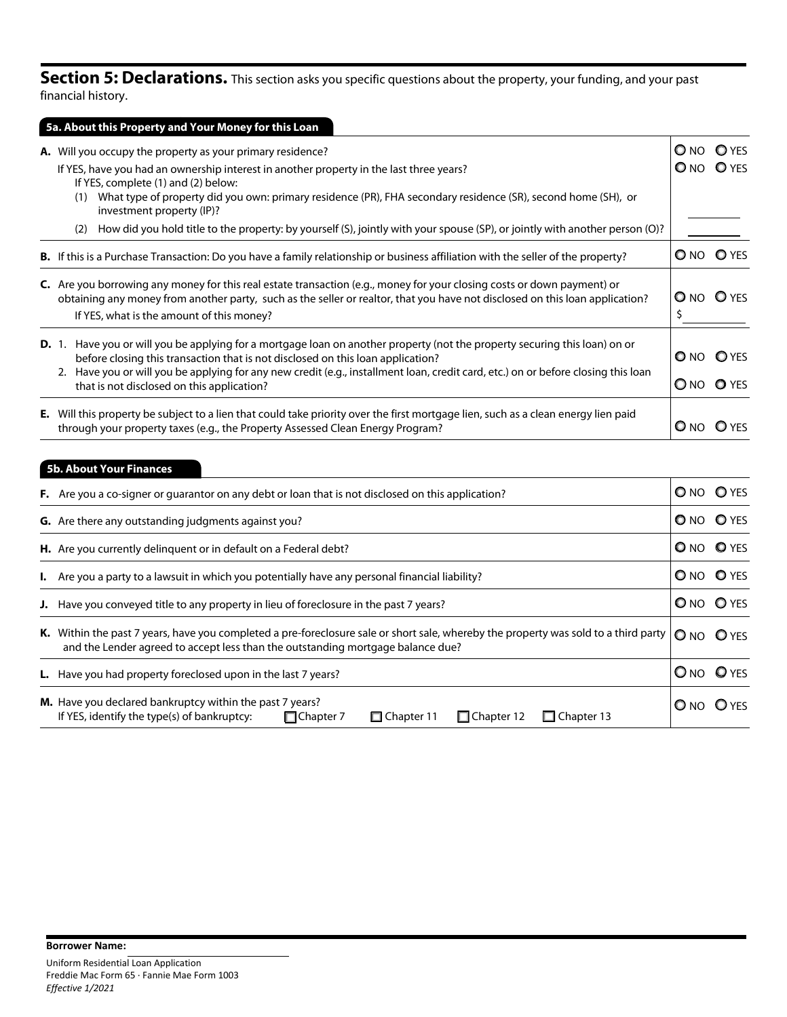**Section 5: Declarations.** This section asks you specific questions about the property, your funding, and your past financial history.

| 5a. About this Property and Your Money for this Loan                                                                                                                                                                                                           |               |                   |
|----------------------------------------------------------------------------------------------------------------------------------------------------------------------------------------------------------------------------------------------------------------|---------------|-------------------|
| A. Will you occupy the property as your primary residence?                                                                                                                                                                                                     |               | ONO OYES          |
| If YES, have you had an ownership interest in another property in the last three years?<br>If YES, complete (1) and (2) below:                                                                                                                                 |               | ONO OYES          |
| What type of property did you own: primary residence (PR), FHA secondary residence (SR), second home (SH), or<br>(1)<br>investment property (IP)?                                                                                                              |               |                   |
| How did you hold title to the property: by yourself (S), jointly with your spouse (SP), or jointly with another person (O)?<br>(2)                                                                                                                             |               |                   |
| <b>B.</b> If this is a Purchase Transaction: Do you have a family relationship or business affiliation with the seller of the property?                                                                                                                        |               | O NO O YES        |
| <b>C.</b> Are you borrowing any money for this real estate transaction (e.g., money for your closing costs or down payment) or<br>obtaining any money from another party, such as the seller or realtor, that you have not disclosed on this loan application? |               | <b>O</b> NO O YES |
| If YES, what is the amount of this money?                                                                                                                                                                                                                      |               |                   |
| Have you or will you be applying for a mortgage loan on another property (not the property securing this loan) on or<br><b>D.</b> 1.<br>before closing this transaction that is not disclosed on this loan application?                                        |               | <b>ONO OYES</b>   |
| 2. Have you or will you be applying for any new credit (e.g., installment loan, credit card, etc.) on or before closing this loan<br>that is not disclosed on this application?                                                                                | $\bigcirc$ NO | <b>O</b> YES      |
| E. Will this property be subject to a lien that could take priority over the first mortgage lien, such as a clean energy lien paid<br>through your property taxes (e.g., the Property Assessed Clean Energy Program?                                           | $O$ NO        |                   |

| <b>5b. About Your Finances</b>                                                                                                                                                                                                             |                 |  |  |  |  |
|--------------------------------------------------------------------------------------------------------------------------------------------------------------------------------------------------------------------------------------------|-----------------|--|--|--|--|
| F. Are you a co-signer or guarantor on any debt or loan that is not disclosed on this application?                                                                                                                                         | O NO O YES      |  |  |  |  |
| G. Are there any outstanding judgments against you?                                                                                                                                                                                        | <b>ONO OYES</b> |  |  |  |  |
| H. Are you currently delinguent or in default on a Federal debt?                                                                                                                                                                           | O NO O YES      |  |  |  |  |
| <b>I.</b> Are you a party to a lawsuit in which you potentially have any personal financial liability?                                                                                                                                     | O NO O YES      |  |  |  |  |
| <b>J.</b> Have you conveyed title to any property in lieu of foreclosure in the past 7 years?                                                                                                                                              | O NO O YES      |  |  |  |  |
| K. Within the past 7 years, have you completed a pre-foreclosure sale or short sale, whereby the property was sold to a third party $ O_{NO}$ $O_{YES}$<br>and the Lender agreed to accept less than the outstanding mortgage balance due? |                 |  |  |  |  |

| L. Have you had property foreclosed upon in the last 7 years?                                                                                                                        | O <sub>NO</sub> O <sub>YES</sub> |
|--------------------------------------------------------------------------------------------------------------------------------------------------------------------------------------|----------------------------------|
| <b>M.</b> Have you declared bankruptcy within the past 7 years?<br>□ Chapter 12 □ Chapter 13<br>If YES, identify the type(s) of bankruptcy:<br>$\Box$ Chapter 7<br>$\Box$ Chapter 11 | O NO O YES                       |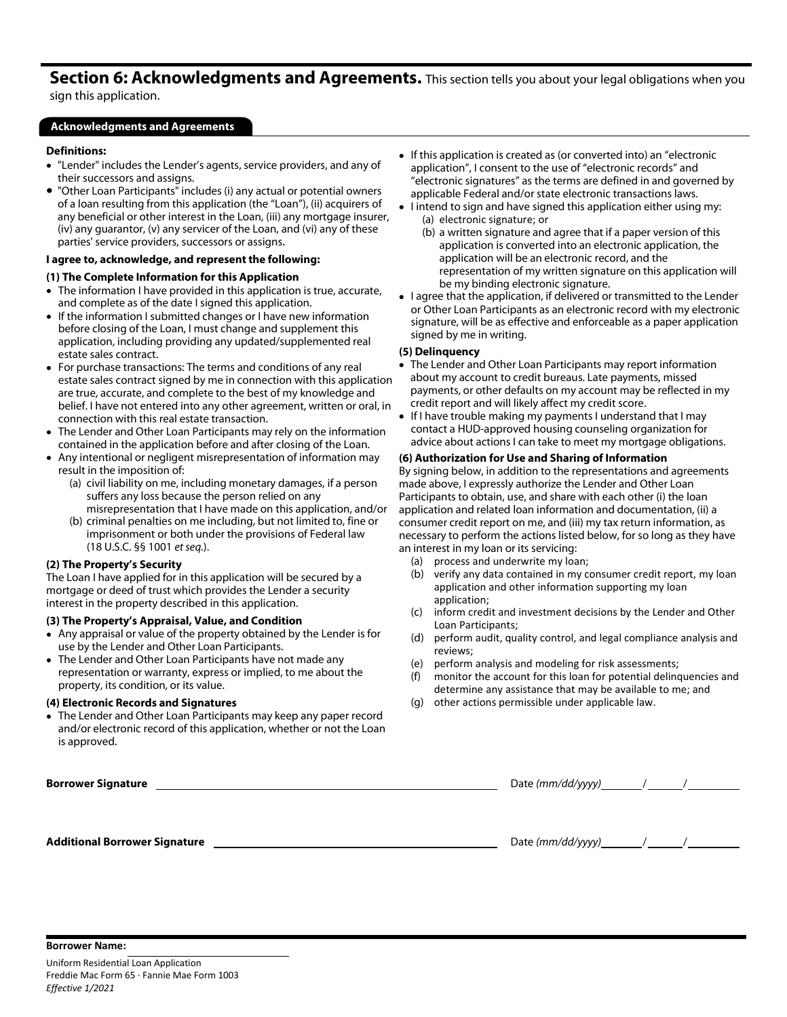# Section 6: Acknowledgments and Agreements. This section tells you about your legal obligations when you

sign this application.

### Acknowledgments and Agreements

### Definitions:

- "Lender" includes the Lender's agents, service providers, and any of their successors and assigns.
- "Other Loan Participants" includes (i) any actual or potential owners of a loan resulting from this application (the "Loan"), (ii) acquirers of any beneficial or other interest in the Loan, (iii) any mortgage insurer, (iv) any guarantor, (v) any servicer of the Loan, and (vi) any of these parties' service providers, successors or assigns.

### I agree to, acknowledge, and represent the following:

### (1) The Complete Information for this Application

- The information I have provided in this application is true, accurate, and complete as of the date I signed this application.
- If the information I submitted changes or I have new information before closing of the Loan, I must change and supplement this application, including providing any updated/supplemented real estate sales contract.
- For purchase transactions: The terms and conditions of any real estate sales contract signed by me in connection with this application are true, accurate, and complete to the best of my knowledge and belief. I have not entered into any other agreement, written or oral, in connection with this real estate transaction.
- The Lender and Other Loan Participants may rely on the information contained in the application before and after closing of the Loan.
- Any intentional or negligent misrepresentation of information may result in the imposition of:
	- (a) civil liability on me, including monetary damages, if a person suffers any loss because the person relied on any misrepresentation that I have made on this application, and/or
	- (b) criminal penalties on me including, but not limited to, fine or imprisonment or both under the provisions of Federal law (18 U.S.C. §§ 1001 *et seq.*).

#### (2) The Property's Security

The Loan I have applied for in this application will be secured by a mortgage or deed of trust which provides the Lender a security interest in the property described in this application.

### (3) The Property's Appraisal, Value, and Condition

- Any appraisal or value of the property obtained by the Lender is for use by the Lender and Other Loan Participants.
- The Lender and Other Loan Participants have not made any representation or warranty, express or implied, to me about the property, its condition, or its value.

#### (4) Electronic Records and Signatures

The Lender and Other Loan Participants may keep any paper record and/or electronic record of this application, whether or not the Loan is approved.

- If this application is created as (or converted into) an "electronic application", I consent to the use of "electronic records" and "electronic signatures" as the terms are defined in and governed by applicable Federal and/or state electronic transactions laws.
- I intend to sign and have signed this application either using my: (a) electronic signature; or
	- (b) a written signature and agree that if a paper version of this application is converted into an electronic application, the application will be an electronic record, and the representation of my written signature on this application will be my binding electronic signature.
- I agree that the application, if delivered or transmitted to the Lender or Other Loan Participants as an electronic record with my electronic signature, will be as effective and enforceable as a paper application signed by me in writing.

### (5) Delinquency

- The Lender and Other Loan Participants may report information about my account to credit bureaus. Late payments, missed payments, or other defaults on my account may be reflected in my credit report and will likely affect my credit score.
- If I have trouble making my payments I understand that I may contact a HUD-approved housing counseling organization for advice about actions I can take to meet my mortgage obligations.

### (6) Authorization for Use and Sharing of Information

By signing below, in addition to the representations and agreements made above, I expressly authorize the Lender and Other Loan Participants to obtain, use, and share with each other (i) the loan application and related loan information and documentation, (ii) a consumer credit report on me, and (iii) my tax return information, as necessary to perform the actions listed below, for so long as they have an interest in my loan or its servicing:

- (a) process and underwrite my loan;<br>(b) verify any data contained in my c
- verify any data contained in my consumer credit report, my loan application and other information supporting my loan application;
- (c) inform credit and investment decisions by the Lender and Other Loan Participants;
- (d) perform audit, quality control, and legal compliance analysis and reviews;
- (e) perform analysis and modeling for risk assessments;
- (f) monitor the account for this loan for potential delinquencies and determine any assistance that may be available to me; and
- (g) other actions permissible under applicable law.

| <b>Borrower Signature</b>            | Date (mm/dd/yyyy) |  |
|--------------------------------------|-------------------|--|
|                                      |                   |  |
|                                      |                   |  |
| <b>Additional Borrower Signature</b> |                   |  |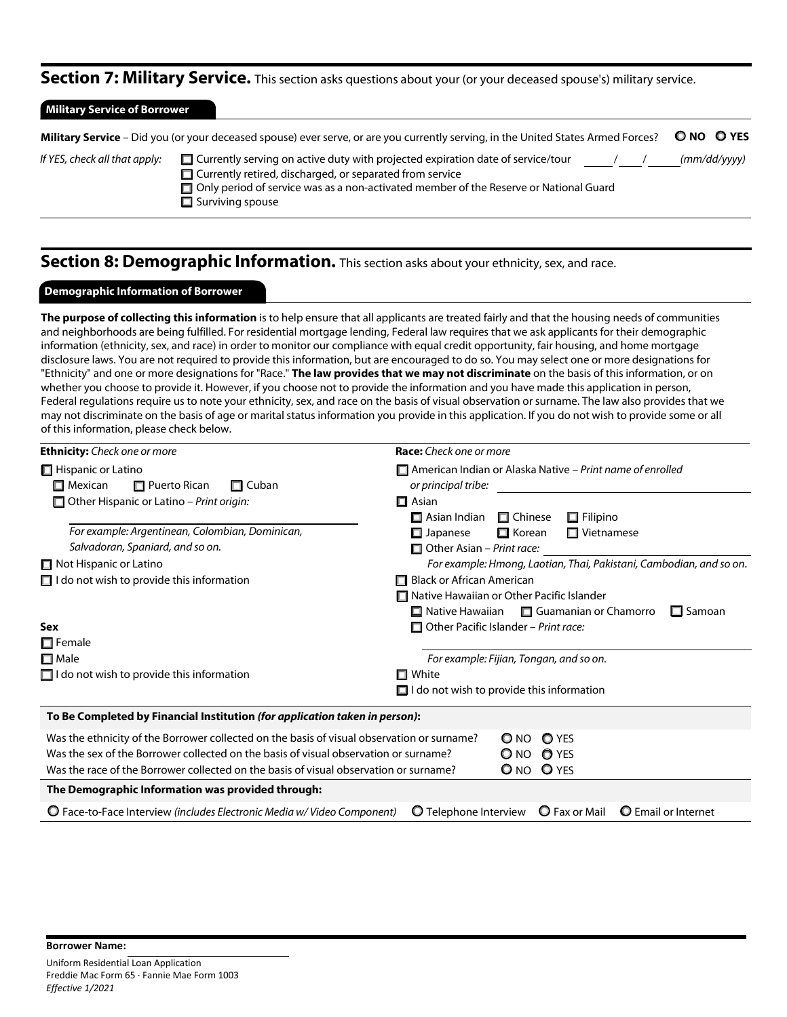### Section 7: Military Service. This section asks questions about your (or your deceased spouse's) military service.

| <b>Military Service of Borrower</b>                                                                                               |                                                                                                                                                                                                                                                                                      |              |  |  |  |
|-----------------------------------------------------------------------------------------------------------------------------------|--------------------------------------------------------------------------------------------------------------------------------------------------------------------------------------------------------------------------------------------------------------------------------------|--------------|--|--|--|
| Military Service - Did you (or your deceased spouse) ever serve, or are you currently serving, in the United States Armed Forces? |                                                                                                                                                                                                                                                                                      |              |  |  |  |
| If YES, check all that apply:                                                                                                     | $\Box$ Currently serving on active duty with projected expiration date of service/tour<br>$\Box$ Currently retired, discharged, or separated from service<br>$\Box$ Only period of service was as a non-activated member of the Reserve or National Guard<br>$\Box$ Surviving spouse | (mm/dd/vvyy) |  |  |  |

## Section 8: Demographic Information. This section asks about your ethnicity, sex, and race.

### Demographic Information of Borrower

The purpose of collecting this information is to help ensure that all applicants are treated fairly and that the housing needs of communities and neighborhoods are being fulfilled. For residential mortgage lending, Federal law requires that we ask applicants for their demographic information (ethnicity, sex, and race) in order to monitor our compliance with equal credit opportunity, fair housing, and home mortgage disclosure laws. You are not required to provide this information, but are encouraged to do so. You may select one or more designations for "Ethnicity" and one or more designations for "Race." The law provides that we may not discriminate on the basis of this information, or on whether you choose to provide it. However, if you choose not to provide the information and you have made this application in person, Federal regulations require us to note your ethnicity, sex, and race on the basis of visual observation or surname. The law also provides that we may not discriminate on the basis of age or marital status information you provide in this application. If you do not wish to provide some or all of this information, please check below.

| <b>Ethnicity:</b> Check one or more                                                                                                                                                                                                                                         | <b>Race:</b> Check one or more                                                                                                                   |
|-----------------------------------------------------------------------------------------------------------------------------------------------------------------------------------------------------------------------------------------------------------------------------|--------------------------------------------------------------------------------------------------------------------------------------------------|
| Hispanic or Latino<br>$\square$ Mexican<br>$\Box$ Puerto Rican<br>$\Box$ Cuban                                                                                                                                                                                              | $\Box$ American Indian or Alaska Native – Print name of enrolled<br>or principal tribe:                                                          |
| $\Box$ Other Hispanic or Latino – Print origin:                                                                                                                                                                                                                             | $\Box$ Asian<br>$\Box$ Filipino<br>$\Box$ Asian Indian<br>$\Box$ Chinese                                                                         |
| For example: Argentinean, Colombian, Dominican,<br>Salvadoran, Spaniard, and so on.                                                                                                                                                                                         | $\Box$ Vietnamese<br>$\Box$ Korean<br>$\Box$ Japanese<br>$\Box$ Other Asian – Print race:                                                        |
| $\Box$ Not Hispanic or Latino                                                                                                                                                                                                                                               | For example: Hmong, Laotian, Thai, Pakistani, Cambodian, and so on.                                                                              |
| $\Box$ I do not wish to provide this information                                                                                                                                                                                                                            | Black or African American<br>□ Native Hawaiian or Other Pacific Islander<br>$\Box$ Native Hawaiian $\Box$ Guamanian or Chamorro<br>$\Box$ Samoan |
| Sex<br>$\Box$ Female                                                                                                                                                                                                                                                        | $\Box$ Other Pacific Islander – Print race:                                                                                                      |
| $\square$ Male<br>$\Box$ I do not wish to provide this information                                                                                                                                                                                                          | For example: Fijian, Tongan, and so on.<br>□ White                                                                                               |
|                                                                                                                                                                                                                                                                             | $\Box$ I do not wish to provide this information                                                                                                 |
| To Be Completed by Financial Institution (for application taken in person):                                                                                                                                                                                                 |                                                                                                                                                  |
| Was the ethnicity of the Borrower collected on the basis of visual observation or surname?<br>Was the sex of the Borrower collected on the basis of visual observation or surname?<br>Was the race of the Borrower collected on the basis of visual observation or surname? | <b>O</b> YES<br>$\Omega$ NO<br>O NO O YES<br>O NO O YES                                                                                          |
| The Demographic Information was provided through:                                                                                                                                                                                                                           |                                                                                                                                                  |
| O Face-to-Face Interview (includes Electronic Media w/ Video Component)                                                                                                                                                                                                     | <b>O</b> Fax or Mail<br><b>O</b> Telephone Interview<br><b>O</b> Email or Internet                                                               |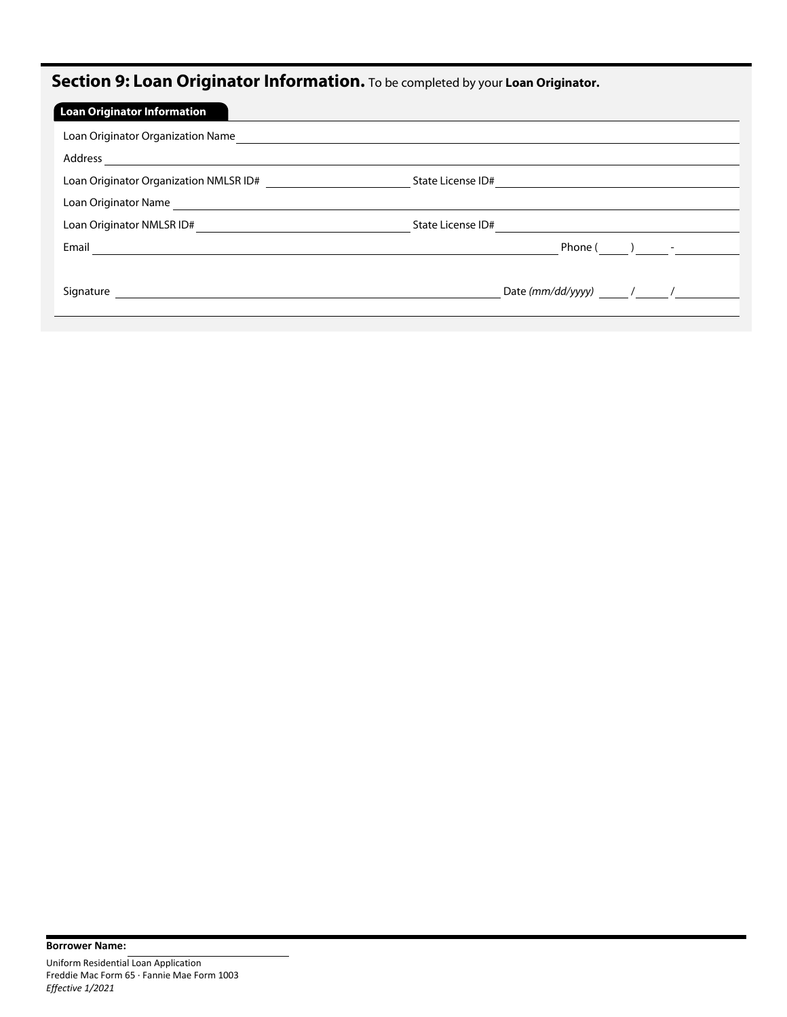# Section 9: Loan Originator Information. To be completed by your Loan Originator.

| <b>Loan Originator Information</b>     |                       |
|----------------------------------------|-----------------------|
| Loan Originator Organization Name      |                       |
| Address                                |                       |
| Loan Originator Organization NMLSR ID# | State License ID#     |
| Loan Originator Name                   |                       |
| Loan Originator NMLSR ID#              | State License ID#     |
| Email                                  | Phone $($ $)$ $-$     |
|                                        |                       |
| Signature                              | Date (mm/dd/yyyy) / / |
|                                        |                       |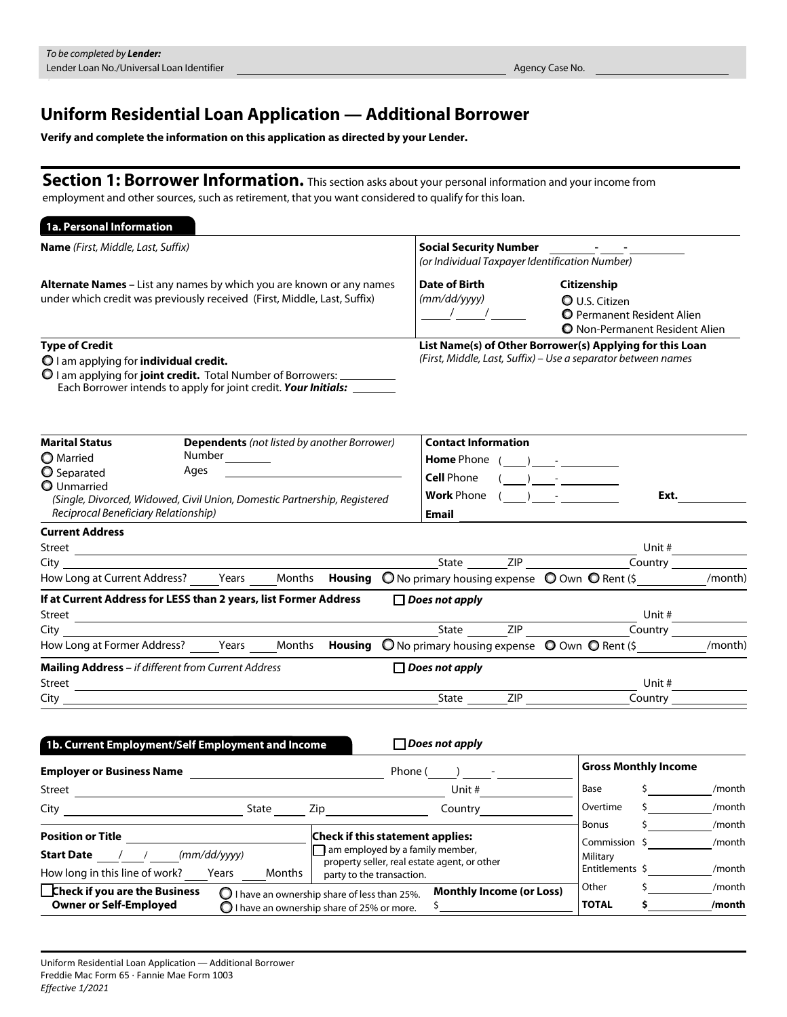## Uniform Residential Loan Application — Additional Borrower

Verify and complete the information on this application as directed by your Lender.

Section 1: Borrower Information. This section asks about your personal information and your income from employment and other sources, such as retirement, that you want considered to qualify for this loan.

| 1a. Personal Information                                                                                                                                                                                                                                                                                                                                                                                                               |                                                                        |                                                               |                                                                                                                             |  |  |                                                                                                                    |                                                         |                  |
|----------------------------------------------------------------------------------------------------------------------------------------------------------------------------------------------------------------------------------------------------------------------------------------------------------------------------------------------------------------------------------------------------------------------------------------|------------------------------------------------------------------------|---------------------------------------------------------------|-----------------------------------------------------------------------------------------------------------------------------|--|--|--------------------------------------------------------------------------------------------------------------------|---------------------------------------------------------|------------------|
| <b>Name</b> (First, Middle, Last, Suffix)<br>Alternate Names - List any names by which you are known or any names<br>under which credit was previously received (First, Middle, Last, Suffix)<br><b>Type of Credit</b><br>$\bigcirc$ I am applying for <b>individual credit.</b><br>O I am applying for joint credit. Total Number of Borrowers: __________<br>Each Borrower intends to apply for joint credit. Your Initials: _______ |                                                                        |                                                               | <b>Social Security Number</b><br>(or Individual Taxpayer Identification Number)                                             |  |  |                                                                                                                    |                                                         |                  |
|                                                                                                                                                                                                                                                                                                                                                                                                                                        |                                                                        |                                                               | Date of Birth<br>(mm/dd/yyyy)<br>$\frac{1}{\sqrt{1-\frac{1}{2}}}$                                                           |  |  | Citizenship<br><b>O</b> U.S. Citizen<br><b>O</b> Permanent Resident Alien<br><b>O</b> Non-Permanent Resident Alien |                                                         |                  |
|                                                                                                                                                                                                                                                                                                                                                                                                                                        |                                                                        |                                                               | List Name(s) of Other Borrower(s) Applying for this Loan<br>(First, Middle, Last, Suffix) - Use a separator between names   |  |  |                                                                                                                    |                                                         |                  |
| <b>Marital Status</b><br><b>O</b> Married<br>O Separated<br>Ages<br><b>Q</b> Unmarried<br>(Single, Divorced, Widowed, Civil Union, Domestic Partnership, Registered<br>Reciprocal Beneficiary Relationship)                                                                                                                                                                                                                            | <b>Dependents</b> (not listed by another Borrower)<br>Number__________ |                                                               | <b>Contact Information</b><br><b>Home</b> Phone ( )<br><b>Cell Phone</b><br><b>Work</b> Phone $($ $)$ $  -$<br><b>Email</b> |  |  | $\mathcal{L}$ and the set of $\mathcal{L}$                                                                         | Ext.                                                    |                  |
| <b>Current Address</b><br>Street <b>Executive Contract Contract Contract Contract Contract Contract Contract Contract Contract Contract Contract Contract Contract Contract Contract Contract Contract Contract Contract Contract Contract Contract Contra</b>                                                                                                                                                                         |                                                                        |                                                               |                                                                                                                             |  |  |                                                                                                                    | Unit #<br>$\overline{$ Country $\overline{\phantom{z}}$ |                  |
| How Long at Current Address? _____Years _____Months <b>Housing</b> © No primary housing expense © Own © Rent (\$ ___________/month)                                                                                                                                                                                                                                                                                                    |                                                                        |                                                               |                                                                                                                             |  |  |                                                                                                                    |                                                         |                  |
| If at Current Address for LESS than 2 years, list Former Address                                                                                                                                                                                                                                                                                                                                                                       |                                                                        |                                                               | $\Box$ Does not apply                                                                                                       |  |  |                                                                                                                    | Unit #                                                  |                  |
| City <b>Contract Contract Contract Contract Contract Contract Contract Contract Contract Contract Contract Contract Contract Contract Contract Contract Contract Contract Contract Contract Contract Contract Contract Contract </b>                                                                                                                                                                                                   |                                                                        |                                                               |                                                                                                                             |  |  |                                                                                                                    |                                                         |                  |
|                                                                                                                                                                                                                                                                                                                                                                                                                                        |                                                                        |                                                               |                                                                                                                             |  |  |                                                                                                                    |                                                         | /month)          |
| Mailing Address - if different from Current Address                                                                                                                                                                                                                                                                                                                                                                                    |                                                                        |                                                               | $\Box$ Does not apply                                                                                                       |  |  |                                                                                                                    |                                                         |                  |
| City                                                                                                                                                                                                                                                                                                                                                                                                                                   |                                                                        |                                                               |                                                                                                                             |  |  |                                                                                                                    | Unit $#$<br>$\overline{\text{Country}}$                 |                  |
| 1b. Current Employment/Self Employment and Income                                                                                                                                                                                                                                                                                                                                                                                      |                                                                        |                                                               | $\Box$ Does not apply                                                                                                       |  |  |                                                                                                                    |                                                         |                  |
| Employer or Business Name and the control of the control of the control of the control of the control of the control of the control of the control of the control of the control of the control of the control of the control                                                                                                                                                                                                          |                                                                        |                                                               | Phone $($ $)$ $-$                                                                                                           |  |  | <b>Gross Monthly Income</b>                                                                                        |                                                         |                  |
| Street                                                                                                                                                                                                                                                                                                                                                                                                                                 |                                                                        |                                                               | Unit #                                                                                                                      |  |  | Base \$ /month                                                                                                     |                                                         |                  |
| City                                                                                                                                                                                                                                                                                                                                                                                                                                   | State                                                                  | Zip                                                           | Country                                                                                                                     |  |  | Overtime<br><b>Bonus</b>                                                                                           |                                                         | /month<br>/month |
| <b>Position or Title</b><br><b>Start Date</b> / /<br>How long in this line of work?                                                                                                                                                                                                                                                                                                                                                    | (mm/dd/yyyy)<br>Years<br>Months                                        | Check if this statement applies:<br>party to the transaction. | am employed by a family member,<br>property seller, real estate agent, or other                                             |  |  | Commission \$<br>Military<br>Entitlements \$                                                                       |                                                         | /month<br>/month |
| <b>Check if you are the Business</b>                                                                                                                                                                                                                                                                                                                                                                                                   | $\bigcirc$ I have an ownership share of less than 25%.                 |                                                               | <b>Monthly Income (or Loss)</b>                                                                                             |  |  | Other                                                                                                              |                                                         | /month           |
| <b>Owner or Self-Employed</b>                                                                                                                                                                                                                                                                                                                                                                                                          | $\bigcirc$ I have an ownership share of 25% or more.                   |                                                               | \$                                                                                                                          |  |  | <b>TOTAL</b>                                                                                                       | \$.                                                     | /month           |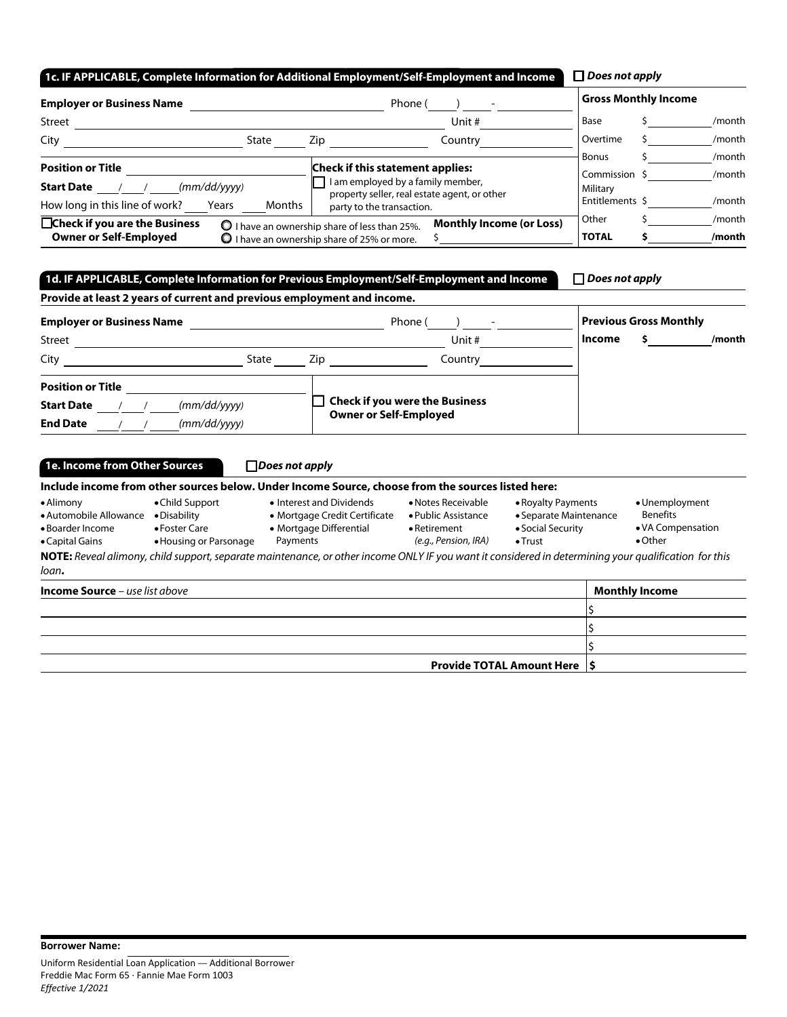| 1c. IF APPLICABLE, Complete Information for Additional Employment/Self-Employment and Income |                                                                                                                                       | $\Box$ Does not apply                     |                  |
|----------------------------------------------------------------------------------------------|---------------------------------------------------------------------------------------------------------------------------------------|-------------------------------------------|------------------|
| <b>Employer or Business Name</b>                                                             | Phone (                                                                                                                               | <b>Gross Monthly Income</b>               |                  |
| Street                                                                                       | Unit #                                                                                                                                | Base                                      | /month           |
| City<br>State                                                                                | Zip<br>Country                                                                                                                        | Overtime                                  | /month           |
| <b>Position or Title</b><br>(mm/dd/yyyy)<br><b>Start Date</b>                                | <b>Check if this statement applies:</b><br>I am employed by a family member,                                                          | <b>Bonus</b><br>Commission \$<br>Military | /month<br>/month |
| How long in this line of work?<br>Months<br>Years                                            | property seller, real estate agent, or other<br>party to the transaction.                                                             | Entitlements \$                           | /month           |
| □Check if you are the Business<br><b>Owner or Self-Employed</b>                              | <b>Monthly Income (or Loss)</b><br>$\bullet$ I have an ownership share of less than 25%.<br>I have an ownership share of 25% or more. | Other<br><b>TOTAL</b>                     | /month<br>/month |

### 1d. IF APPLICABLE, Complete Information for Previous Employment/Self-Employment and Income

*Does not apply*

| Provide at least 2 years of current and previous employment and income. |      |                                       |                               |
|-------------------------------------------------------------------------|------|---------------------------------------|-------------------------------|
| <b>Employer or Business Name</b>                                        |      | Phone (                               | <b>Previous Gross Monthly</b> |
| Street                                                                  |      | Unit #                                | Income<br>/month              |
| City<br>State                                                           | Zip. | Country                               |                               |
| <b>Position or Title</b>                                                |      |                                       |                               |
| (mm/dd/yyyy)<br><b>Start Date</b>                                       |      | <b>Check if you were the Business</b> |                               |
| <b>End Date</b><br>(mm/dd/yyyy)                                         |      | <b>Owner or Self-Employed</b>         |                               |

| 1e. Income from Other Sources                                              |                                                                            | $\sqcap$ Does not apply                                                                                                                              |                                                                                   |                                                                                      |                                                                           |  |
|----------------------------------------------------------------------------|----------------------------------------------------------------------------|------------------------------------------------------------------------------------------------------------------------------------------------------|-----------------------------------------------------------------------------------|--------------------------------------------------------------------------------------|---------------------------------------------------------------------------|--|
|                                                                            |                                                                            | Include income from other sources below. Under Income Source, choose from the sources listed here:                                                   |                                                                                   |                                                                                      |                                                                           |  |
| • Alimony<br>• Automobile Allowance<br>• Boarder Income<br>• Capital Gains | • Child Support<br>• Disability<br>• Foster Care<br>• Housing or Parsonage | • Interest and Dividends<br>• Mortgage Credit Certificate<br>• Mortgage Differential<br>Payments                                                     | • Notes Receivable<br>• Public Assistance<br>• Retirement<br>(e.g., Pension, IRA) | • Royalty Payments<br>• Separate Maintenance<br>• Social Security<br>$\bullet$ Trust | • Unemployment<br><b>Benefits</b><br>• VA Compensation<br>$\bullet$ Other |  |
| loan.                                                                      |                                                                            | NOTE: Reveal alimony, child support, separate maintenance, or other income ONLY IF you want it considered in determining your qualification for this |                                                                                   |                                                                                      |                                                                           |  |
| <b>Income Source</b> – use list above                                      |                                                                            |                                                                                                                                                      |                                                                                   |                                                                                      | <b>Monthly Income</b>                                                     |  |
|                                                                            |                                                                            |                                                                                                                                                      |                                                                                   |                                                                                      |                                                                           |  |
|                                                                            |                                                                            |                                                                                                                                                      |                                                                                   |                                                                                      |                                                                           |  |
|                                                                            |                                                                            |                                                                                                                                                      |                                                                                   |                                                                                      |                                                                           |  |

Provide TOTAL Amount Here  $\vert$ \$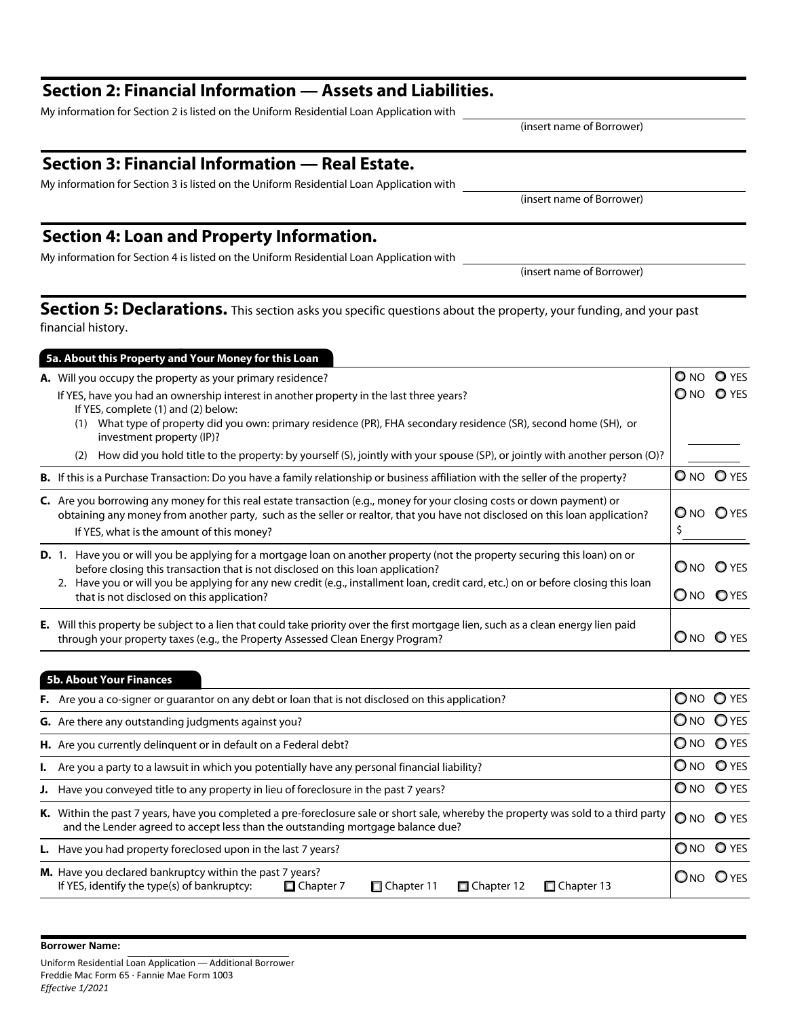Borrower Name:

### Section 2: Financial Information — Assets and Liabilities.

My information for Section 2 is listed on the Uniform Residential Loan Application with

## Section 3: Financial Information — Real Estate.

My information for Section 3 is listed on the Uniform Residential Loan Application with

## Section 4: Loan and Property Information.

My information for Section 4 is listed on the Uniform Residential Loan Application with

Section 5: Declarations. This section asks you specific questions about the property, your funding, and your past financial history.

### **A.** Will you occupy the property as your primary residence?  $\Box$  NO NO O YES If YES, have you had an ownership interest in another property in the last three years?  $\Box$  NO  $\Box$  NO  $\Box$  YES If YES, complete (1) and (2) below: (1) What type of property did you own: primary residence (PR), FHA secondary residence (SR), second home (SH), or investment property (IP)? (2) How did you hold title to the property: by yourself (S), jointly with your spouse (SP), or jointly with another person (O)? **B.** If this is a Purchase Transaction: Do you have a family relationship or business affiliation with the seller of the property?  $\Box$  NO  $\Box$  YES C. Are you borrowing any money for this real estate transaction (e.g., money for your closing costs or down payment) or obtaining any money from another party, such as the seller or realtor, that you have not disclosed on this loan application?  $\Box$  NO  $\Box$  YES If YES, what is the amount of this money?  $\frac{1}{2}$ D. 1. Have you or will you be applying for a mortgage loan on another property (not the property securing this loan) on or before closing this transaction that is not disclosed on this loan application? No NO YES 2. Have you or will you be applying for any new credit (e.g., installment loan, credit card, etc.) on or before closing this loan that is not disclosed on this application?  $|$  O YES E. Will this property be subject to a lien that could take priority over the first mortgage lien, such as a clean energy lien paid through your property taxes (e.g., the Property Assessed Clean Energy Program?  $\Box$  NO YES 5a. About this Property and Your Money for this Loan

| <b>5b. About Your Finances</b>                                                                                                                                                                                         |          |          |
|------------------------------------------------------------------------------------------------------------------------------------------------------------------------------------------------------------------------|----------|----------|
| F. Are you a co-signer or guarantor on any debt or loan that is not disclosed on this application?                                                                                                                     |          | ONO OYES |
| <b>G.</b> Are there any outstanding judgments against you?                                                                                                                                                             | ONO OYES |          |
| H. Are you currently delinquent or in default on a Federal debt?                                                                                                                                                       | ONO OYES |          |
| <b>I.</b> Are you a party to a lawsuit in which you potentially have any personal financial liability?                                                                                                                 | ONO OYES |          |
| J. Have you conveyed title to any property in lieu of foreclosure in the past 7 years?                                                                                                                                 |          | ONO OYES |
| K. Within the past 7 years, have you completed a pre-foreclosure sale or short sale, whereby the property was sold to a third party<br>and the Lender agreed to accept less than the outstanding mortgage balance due? |          | ONO OYES |
| <b>L.</b> Have you had property foreclosed upon in the last 7 years?                                                                                                                                                   |          | ONO OYES |
| M. Have you declared bankruptcy within the past 7 years?<br>If YES, identify the type(s) of bankruptcy:<br>$\Box$ Chapter 7<br>$\Box$ Chapter 13<br>□ Chapter 12<br>$\Box$ Chapter 11                                  |          | ONO OYES |

(insert name of Borrower)

(insert name of Borrower)

(insert name of Borrower)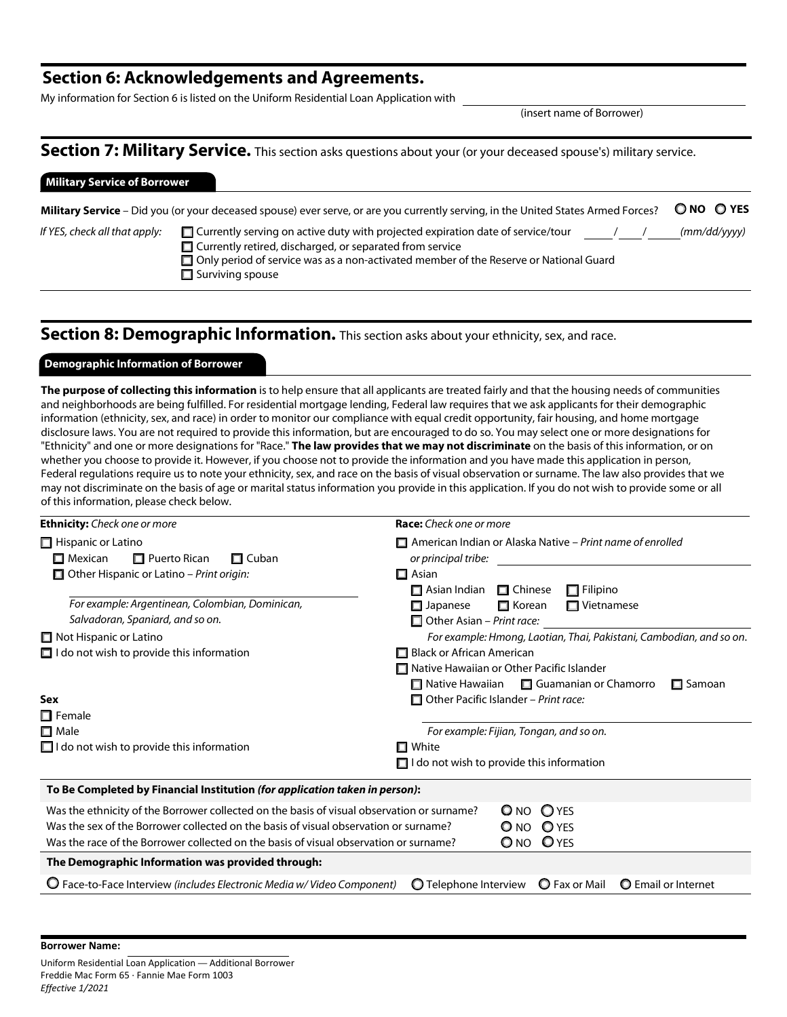### Section 6: Acknowledgements and Agreements.

My information for Section 6 is listed on the Uniform Residential Loan Application with

(insert name of Borrower)

### Section 7: Military Service. This section asks questions about your (or your deceased spouse's) military service.

### Military Service of Borrower

Military Service – Did you (or your deceased spouse) ever serve, or are you currently serving, in the United States Armed Forces?  $\bigcirc$  NO  $\bigcirc$  YES

| If YES, check all that apply: | 口C |
|-------------------------------|----|
|                               |    |

*If YES, check all that apply:* Currently serving on active duty with projected expiration date of service/tour / / *(mm/dd/yyyy)* Currently retired, discharged, or separated from service Only period of service was as a non-activated member of the Reserve or National Guard  $\Box$  Surviving spouse

### Section 8: Demographic Information. This section asks about your ethnicity, sex, and race.

### Demographic Information of Borrower

The purpose of collecting this information is to help ensure that all applicants are treated fairly and that the housing needs of communities and neighborhoods are being fulfilled. For residential mortgage lending, Federal law requires that we ask applicants for their demographic information (ethnicity, sex, and race) in order to monitor our compliance with equal credit opportunity, fair housing, and home mortgage disclosure laws. You are not required to provide this information, but are encouraged to do so. You may select one or more designations for "Ethnicity" and one or more designations for "Race." The law provides that we may not discriminate on the basis of this information, or on whether you choose to provide it. However, if you choose not to provide the information and you have made this application in person, Federal regulations require us to note your ethnicity, sex, and race on the basis of visual observation or surname. The law also provides that we may not discriminate on the basis of age or marital status information you provide in this application. If you do not wish to provide some or all of this information, please check below.

| <b>Ethnicity:</b> Check one or more                                                                                                                                                                                                                                         | <b>Race:</b> Check one or more                                                               |  |  |  |
|-----------------------------------------------------------------------------------------------------------------------------------------------------------------------------------------------------------------------------------------------------------------------------|----------------------------------------------------------------------------------------------|--|--|--|
| $\Box$ Hispanic or Latino<br>$\Box$ Puerto Rican<br>$\Box$ Mexican<br>$\Box$ Cuban                                                                                                                                                                                          | $\Box$ American Indian or Alaska Native – Print name of enrolled<br>or principal tribe:      |  |  |  |
| $\Box$ Other Hispanic or Latino – Print origin:                                                                                                                                                                                                                             | $\Box$ Asian<br>$\Box$ Filipino<br>$\Box$ Asian Indian<br>$\Box$ Chinese                     |  |  |  |
| For example: Argentinean, Colombian, Dominican,<br>Salvadoran, Spaniard, and so on.                                                                                                                                                                                         | $\Box$ Korean<br>$\Box$ Vietnamese<br>$\square$ Japanese<br>$\Box$ Other Asian – Print race: |  |  |  |
| $\Box$ Not Hispanic or Latino                                                                                                                                                                                                                                               | For example: Hmong, Laotian, Thai, Pakistani, Cambodian, and so on.                          |  |  |  |
| $\Box$ I do not wish to provide this information                                                                                                                                                                                                                            | Black or African American                                                                    |  |  |  |
|                                                                                                                                                                                                                                                                             | □ Native Hawaiian or Other Pacific Islander                                                  |  |  |  |
|                                                                                                                                                                                                                                                                             | $\Box$ Native Hawaiian $\Box$ Guamanian or Chamorro<br>$\Box$ Samoan                         |  |  |  |
| <b>Sex</b>                                                                                                                                                                                                                                                                  | $\Box$ Other Pacific Islander - Print race:                                                  |  |  |  |
| $\Box$ Female                                                                                                                                                                                                                                                               |                                                                                              |  |  |  |
| $\Box$ Male                                                                                                                                                                                                                                                                 | For example: Fijian, Tongan, and so on.                                                      |  |  |  |
| $\Box$ I do not wish to provide this information                                                                                                                                                                                                                            | $\Box$ White                                                                                 |  |  |  |
|                                                                                                                                                                                                                                                                             | $\Box$ I do not wish to provide this information                                             |  |  |  |
| To Be Completed by Financial Institution (for application taken in person):                                                                                                                                                                                                 |                                                                                              |  |  |  |
| Was the ethnicity of the Borrower collected on the basis of visual observation or surname?<br>Was the sex of the Borrower collected on the basis of visual observation or surname?<br>Was the race of the Borrower collected on the basis of visual observation or surname? | $O$ YES<br>$\mathsf{O}$ NO<br>O NO<br><b>O</b> YES<br>ONO OYES                               |  |  |  |
| The Demographic Information was provided through:                                                                                                                                                                                                                           |                                                                                              |  |  |  |
| $\mathbf O$ Face-to-Face Interview (includes Electronic Media w/Video Component)                                                                                                                                                                                            | O Telephone Interview<br><b>O</b> Fax or Mail<br><b>O</b> Email or Internet                  |  |  |  |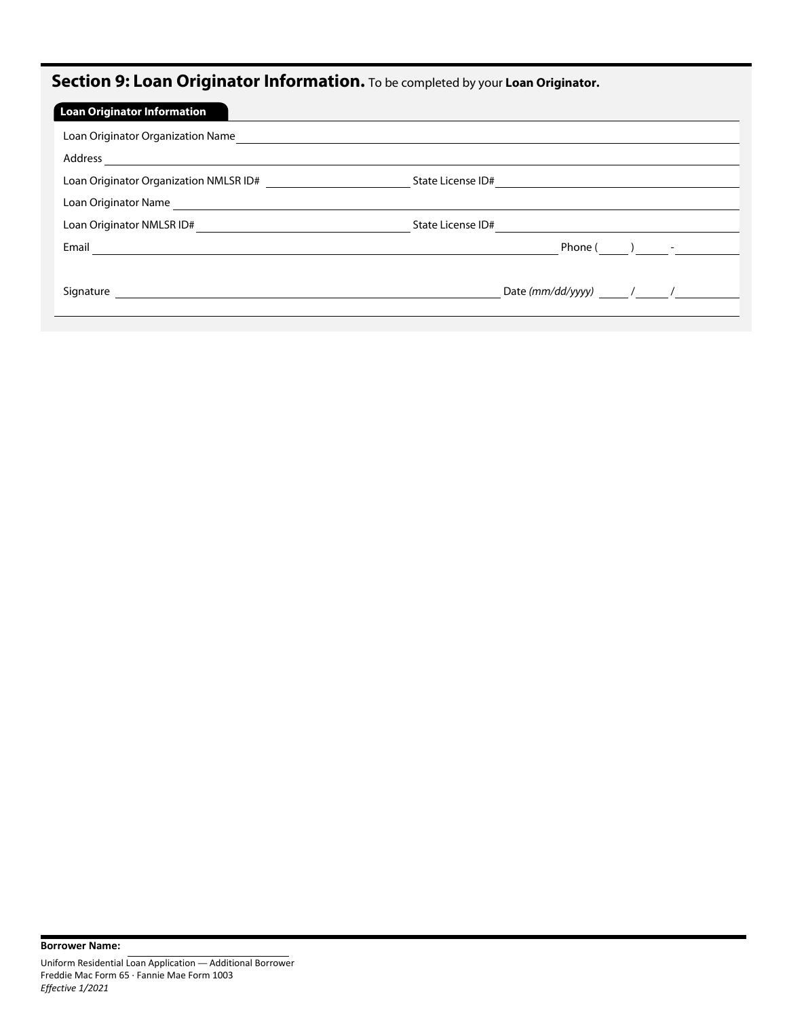# Section 9: Loan Originator Information. To be completed by your Loan Originator.

| <b>Loan Originator Information</b>     |                       |
|----------------------------------------|-----------------------|
| Loan Originator Organization Name      |                       |
| Address                                |                       |
| Loan Originator Organization NMLSR ID# | State License ID#     |
| Loan Originator Name                   |                       |
| Loan Originator NMLSR ID#              | State License ID#     |
| Email                                  | Phone $($ ) -         |
|                                        |                       |
| Signature                              | Date (mm/dd/yyyy) / / |
|                                        |                       |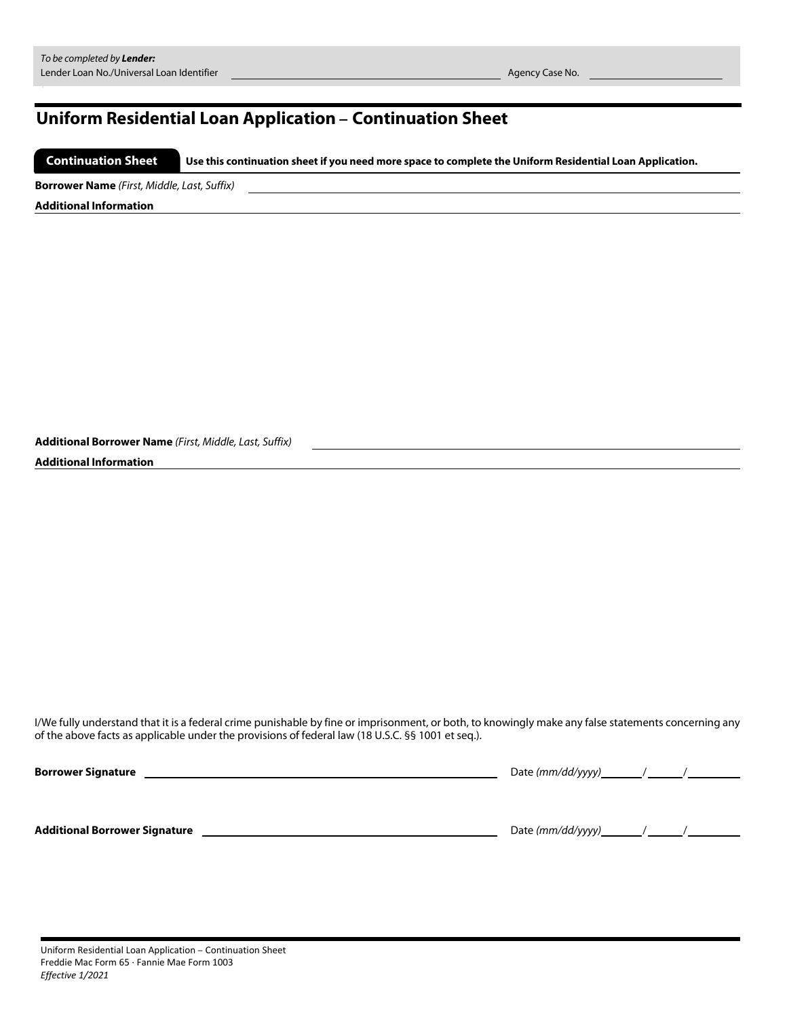# Uniform Residential Loan Application – Continuation Sheet

 Use this continuation sheet if you need more space to complete the Uniform Residential Loan Application. Continuation Sheet

Borrower Name *(First, Middle, Last, Suffix)*

Additional Information

Additional Borrower Name *(First, Middle, Last, Suffix)*

### Additional Information

I/We fully understand that it is a federal crime punishable by fine or imprisonment, or both, to knowingly make any false statements concerning any of the above facts as applicable under the provisions of federal law (18 U.S.C. §§ 1001 et seq.).

| <b>Borrower Signature</b>            | Date $\frac{mm}{dd}/\frac{yy}{y}$ / / |  |
|--------------------------------------|---------------------------------------|--|
| <b>Additional Borrower Signature</b> | Date $(mm/dd/yyyy)$ / /               |  |